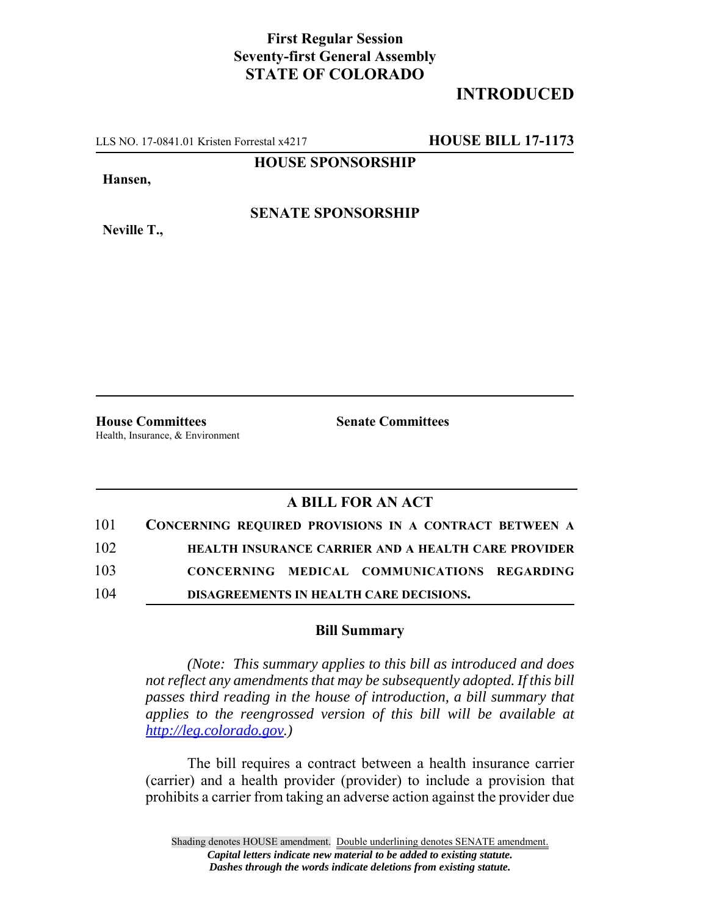## **First Regular Session Seventy-first General Assembly STATE OF COLORADO**

# **INTRODUCED**

LLS NO. 17-0841.01 Kristen Forrestal x4217 **HOUSE BILL 17-1173**

**HOUSE SPONSORSHIP**

**Hansen,**

**SENATE SPONSORSHIP**

**Neville T.,**

**House Committees Senate Committees** Health, Insurance, & Environment

### **A BILL FOR AN ACT**

|     | 101 CONCERNING REQUIRED PROVISIONS IN A CONTRACT BETWEEN A |
|-----|------------------------------------------------------------|
| 102 | <b>HEALTH INSURANCE CARRIER AND A HEALTH CARE PROVIDER</b> |
| 103 | CONCERNING MEDICAL COMMUNICATIONS REGARDING                |
| 104 | DISAGREEMENTS IN HEALTH CARE DECISIONS.                    |

#### **Bill Summary**

*(Note: This summary applies to this bill as introduced and does not reflect any amendments that may be subsequently adopted. If this bill passes third reading in the house of introduction, a bill summary that applies to the reengrossed version of this bill will be available at http://leg.colorado.gov.)*

The bill requires a contract between a health insurance carrier (carrier) and a health provider (provider) to include a provision that prohibits a carrier from taking an adverse action against the provider due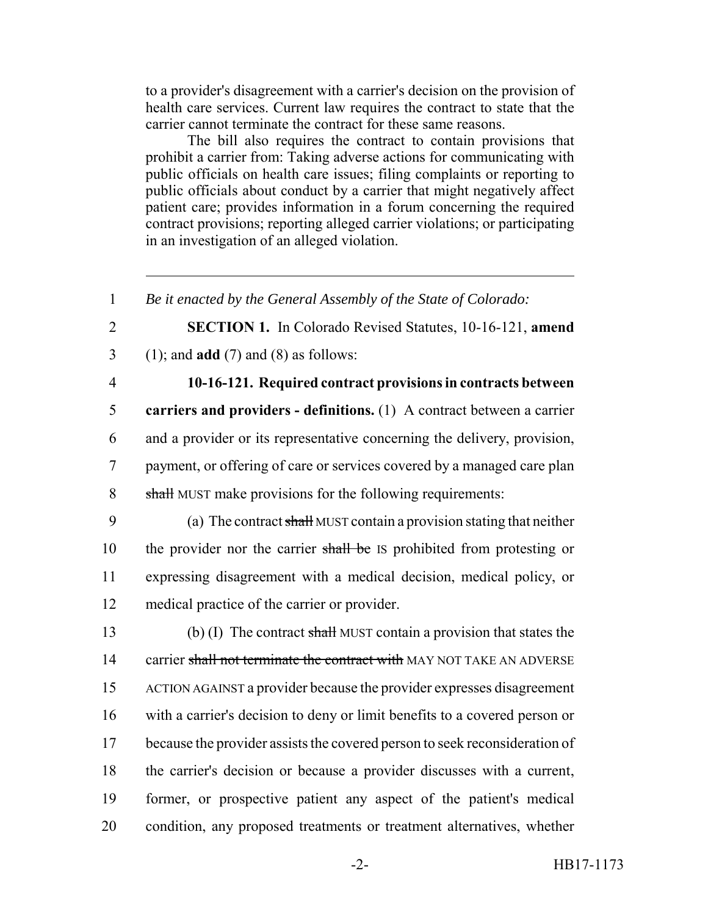to a provider's disagreement with a carrier's decision on the provision of health care services. Current law requires the contract to state that the carrier cannot terminate the contract for these same reasons.

The bill also requires the contract to contain provisions that prohibit a carrier from: Taking adverse actions for communicating with public officials on health care issues; filing complaints or reporting to public officials about conduct by a carrier that might negatively affect patient care; provides information in a forum concerning the required contract provisions; reporting alleged carrier violations; or participating in an investigation of an alleged violation.

2 **SECTION 1.** In Colorado Revised Statutes, 10-16-121, **amend** 3 (1); and **add** (7) and (8) as follows:

### 4 **10-16-121. Required contract provisions in contracts between**

 **carriers and providers - definitions.** (1) A contract between a carrier and a provider or its representative concerning the delivery, provision, payment, or offering of care or services covered by a managed care plan 8 shall MUST make provisions for the following requirements:

9 (a) The contract shall MUST contain a provision stating that neither 10 the provider nor the carrier shall be IS prohibited from protesting or 11 expressing disagreement with a medical decision, medical policy, or 12 medical practice of the carrier or provider.

13 (b) (I) The contract shall MUST contain a provision that states the 14 carrier shall not terminate the contract with MAY NOT TAKE AN ADVERSE ACTION AGAINST a provider because the provider expresses disagreement with a carrier's decision to deny or limit benefits to a covered person or because the provider assists the covered person to seek reconsideration of the carrier's decision or because a provider discusses with a current, former, or prospective patient any aspect of the patient's medical condition, any proposed treatments or treatment alternatives, whether

<sup>1</sup> *Be it enacted by the General Assembly of the State of Colorado:*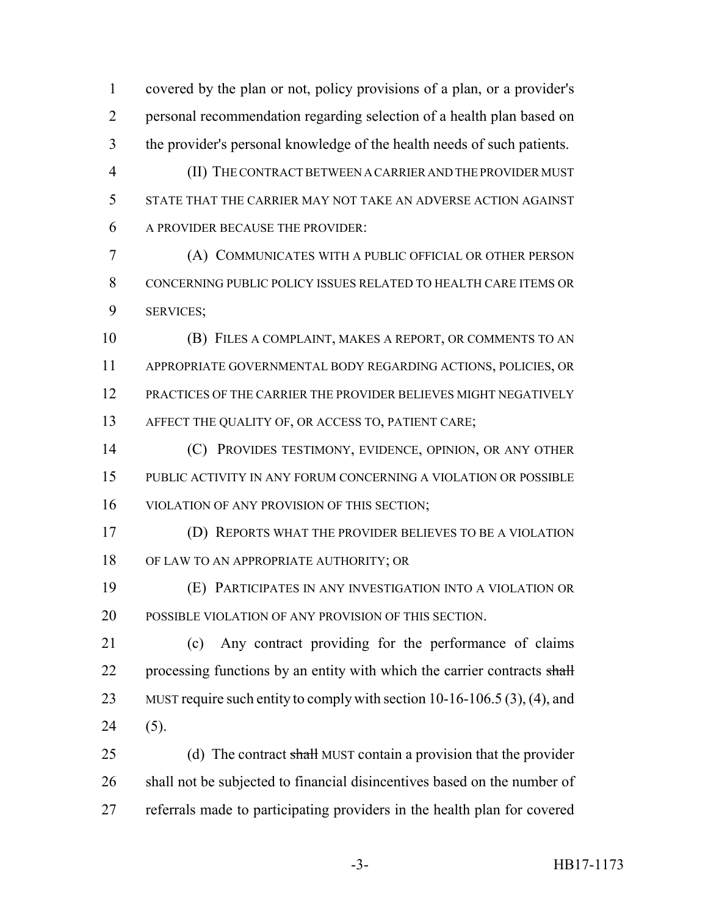covered by the plan or not, policy provisions of a plan, or a provider's personal recommendation regarding selection of a health plan based on the provider's personal knowledge of the health needs of such patients.

 (II) THE CONTRACT BETWEEN A CARRIER AND THE PROVIDER MUST STATE THAT THE CARRIER MAY NOT TAKE AN ADVERSE ACTION AGAINST A PROVIDER BECAUSE THE PROVIDER:

 (A) COMMUNICATES WITH A PUBLIC OFFICIAL OR OTHER PERSON CONCERNING PUBLIC POLICY ISSUES RELATED TO HEALTH CARE ITEMS OR SERVICES;

 (B) FILES A COMPLAINT, MAKES A REPORT, OR COMMENTS TO AN APPROPRIATE GOVERNMENTAL BODY REGARDING ACTIONS, POLICIES, OR PRACTICES OF THE CARRIER THE PROVIDER BELIEVES MIGHT NEGATIVELY 13 AFFECT THE QUALITY OF, OR ACCESS TO, PATIENT CARE;

 (C) PROVIDES TESTIMONY, EVIDENCE, OPINION, OR ANY OTHER PUBLIC ACTIVITY IN ANY FORUM CONCERNING A VIOLATION OR POSSIBLE VIOLATION OF ANY PROVISION OF THIS SECTION;

 (D) REPORTS WHAT THE PROVIDER BELIEVES TO BE A VIOLATION OF LAW TO AN APPROPRIATE AUTHORITY; OR

 (E) PARTICIPATES IN ANY INVESTIGATION INTO A VIOLATION OR POSSIBLE VIOLATION OF ANY PROVISION OF THIS SECTION.

 (c) Any contract providing for the performance of claims 22 processing functions by an entity with which the carrier contracts shall 23 MUST require such entity to comply with section 10-16-106.5 (3), (4), and (5).

25 (d) The contract shall MUST contain a provision that the provider shall not be subjected to financial disincentives based on the number of referrals made to participating providers in the health plan for covered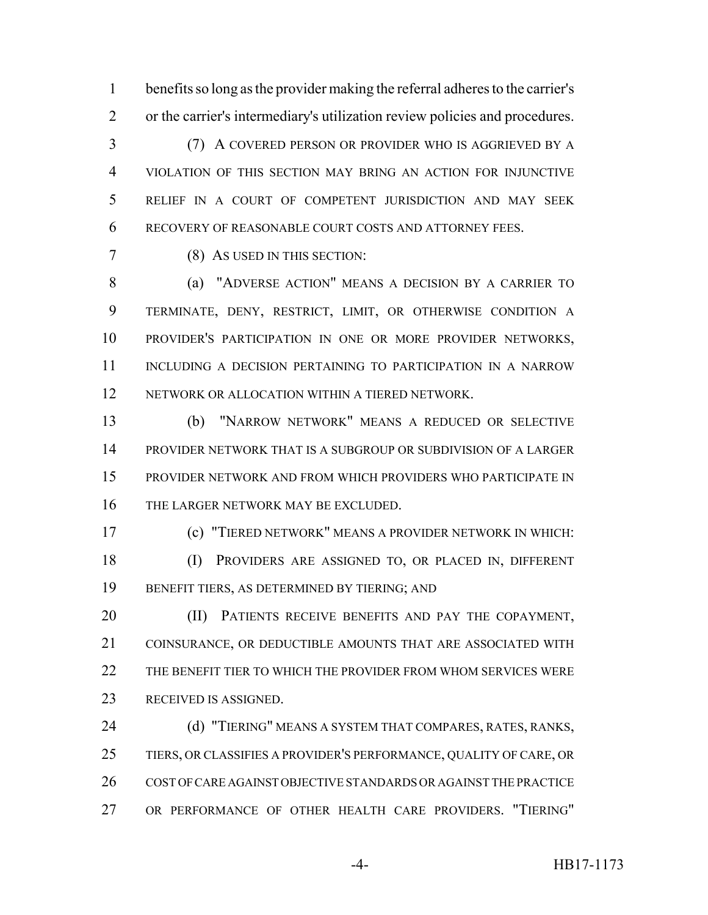benefits so long as the provider making the referral adheres to the carrier's or the carrier's intermediary's utilization review policies and procedures.

 (7) A COVERED PERSON OR PROVIDER WHO IS AGGRIEVED BY A VIOLATION OF THIS SECTION MAY BRING AN ACTION FOR INJUNCTIVE RELIEF IN A COURT OF COMPETENT JURISDICTION AND MAY SEEK RECOVERY OF REASONABLE COURT COSTS AND ATTORNEY FEES.

(8) AS USED IN THIS SECTION:

 (a) "ADVERSE ACTION" MEANS A DECISION BY A CARRIER TO TERMINATE, DENY, RESTRICT, LIMIT, OR OTHERWISE CONDITION A PROVIDER'S PARTICIPATION IN ONE OR MORE PROVIDER NETWORKS, INCLUDING A DECISION PERTAINING TO PARTICIPATION IN A NARROW NETWORK OR ALLOCATION WITHIN A TIERED NETWORK.

 (b) "NARROW NETWORK" MEANS A REDUCED OR SELECTIVE PROVIDER NETWORK THAT IS A SUBGROUP OR SUBDIVISION OF A LARGER PROVIDER NETWORK AND FROM WHICH PROVIDERS WHO PARTICIPATE IN THE LARGER NETWORK MAY BE EXCLUDED.

 (c) "TIERED NETWORK" MEANS A PROVIDER NETWORK IN WHICH: (I) PROVIDERS ARE ASSIGNED TO, OR PLACED IN, DIFFERENT BENEFIT TIERS, AS DETERMINED BY TIERING; AND

20 (II) PATIENTS RECEIVE BENEFITS AND PAY THE COPAYMENT, COINSURANCE, OR DEDUCTIBLE AMOUNTS THAT ARE ASSOCIATED WITH 22 THE BENEFIT TIER TO WHICH THE PROVIDER FROM WHOM SERVICES WERE RECEIVED IS ASSIGNED.

 (d) "TIERING" MEANS A SYSTEM THAT COMPARES, RATES, RANKS, TIERS, OR CLASSIFIES A PROVIDER'S PERFORMANCE, QUALITY OF CARE, OR COST OF CARE AGAINST OBJECTIVE STANDARDS OR AGAINST THE PRACTICE OR PERFORMANCE OF OTHER HEALTH CARE PROVIDERS. "TIERING"